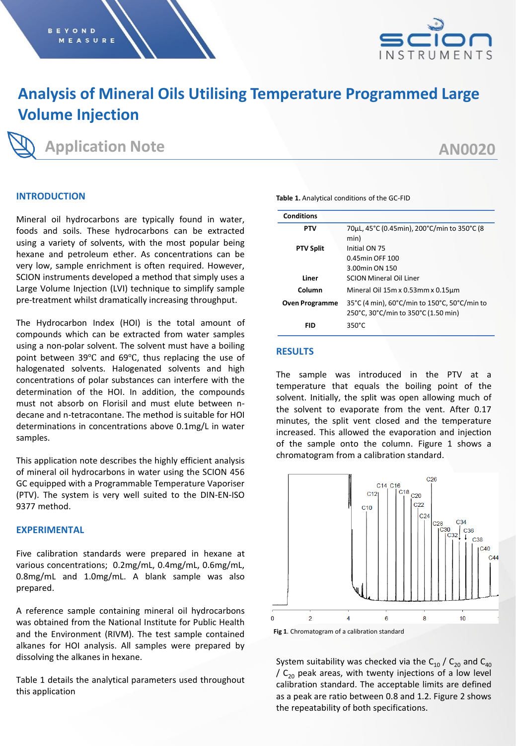

# **Analysis of Mineral Oils Utilising Temperature Programmed Large Volume Injection**

## **Application Note**

# **AN0020**

### **INTRODUCTION**

Mineral oil hydrocarbons are typically found in water, foods and soils. These hydrocarbons can be extracted using a variety of solvents, with the most popular being hexane and petroleum ether. As concentrations can be very low, sample enrichment is often required. However, SCION instruments developed a method that simply uses a Large Volume Injection (LVI) technique to simplify sample pre-treatment whilst dramatically increasing throughput.

The Hydrocarbon Index (HOI) is the total amount of compounds which can be extracted from water samples using a non-polar solvent. The solvent must have a boiling point between 39℃ and 69℃, thus replacing the use of halogenated solvents. Halogenated solvents and high concentrations of polar substances can interfere with the determination of the HOI. In addition, the compounds must not absorb on Florisil and must elute between ndecane and n-tetracontane. The method is suitable for HOI determinations in concentrations above 0.1mg/L in water samples.

This application note describes the highly efficient analysis of mineral oil hydrocarbons in water using the SCION 456 GC equipped with a Programmable Temperature Vaporiser (PTV). The system is very well suited to the DIN-EN-ISO 9377 method.

#### **EXPERIMENTAL**

Five calibration standards were prepared in hexane at various concentrations; 0.2mg/mL, 0.4mg/mL, 0.6mg/mL, 0.8mg/mL and 1.0mg/mL. A blank sample was also prepared.

A reference sample containing mineral oil hydrocarbons was obtained from the National Institute for Public Health and the Environment (RIVM). The test sample contained alkanes for HOI analysis. All samples were prepared by dissolving the alkanes in hexane.

Table 1 details the analytical parameters used throughout this application

| <b>Conditions</b>     |                                                                                     |  |
|-----------------------|-------------------------------------------------------------------------------------|--|
| <b>PTV</b>            | 70µL, 45°C (0.45min), 200°C/min to 350°C (8<br>min)                                 |  |
| <b>PTV Split</b>      | Initial ON 75                                                                       |  |
|                       | 0.45min OFF 100                                                                     |  |
|                       | 3.00min ON 150                                                                      |  |
| Liner                 | <b>SCION Mineral Oil Liner</b>                                                      |  |
| Column                | Mineral Oil 15m x 0.53mm x 0.15um                                                   |  |
| <b>Oven Programme</b> | 35°C (4 min), 60°C/min to 150°C, 50°C/min to<br>250°C, 30°C/min to 350°C (1.50 min) |  |
| FID                   | $350^{\circ}$ C                                                                     |  |

**Table 1.** Analytical conditions of the GC-FID

#### **RESULTS**

The sample was introduced in the PTV at a temperature that equals the boiling point of the solvent. Initially, the split was open allowing much of the solvent to evaporate from the vent. After 0.17 minutes, the split vent closed and the temperature increased. This allowed the evaporation and injection of the sample onto the column. Figure 1 shows a chromatogram from a calibration standard.



System suitability was checked via the  $C_{10}$  /  $C_{20}$  and  $C_{40}$ /  $C_{20}$  peak areas, with twenty injections of a low level calibration standard. The acceptable limits are defined as a peak are ratio between 0.8 and 1.2. Figure 2 shows the repeatability of both specifications.